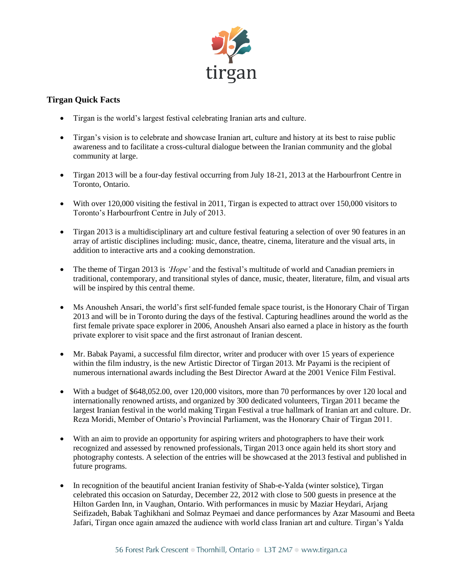

## **Tirgan Quick Facts**

- Tirgan is the world's largest festival celebrating Iranian arts and culture.
- Tirgan's vision is to celebrate and showcase Iranian art, culture and history at its best to raise public awareness and to facilitate a cross-cultural dialogue between the Iranian community and the global community at large.
- Tirgan 2013 will be a four-day festival occurring from July 18-21, 2013 at the Harbourfront Centre in Toronto, Ontario.
- With over 120,000 visiting the festival in 2011, Tirgan is expected to attract over 150,000 visitors to Toronto's Harbourfront Centre in July of 2013.
- Tirgan 2013 is a multidisciplinary art and culture festival featuring a selection of over 90 features in an array of artistic disciplines including: music, dance, theatre, cinema, literature and the visual arts, in addition to interactive arts and a cooking demonstration.
- The theme of Tirgan 2013 is *'Hope'* and the festival's multitude of world and Canadian premiers in traditional, contemporary, and transitional styles of dance, music, theater, literature, film, and visual arts will be inspired by this central theme.
- Ms Anousheh Ansari, the world's first self-funded female space tourist, is the Honorary Chair of Tirgan 2013 and will be in Toronto during the days of the festival. Capturing headlines around the world as the first female private space explorer in 2006, Anousheh Ansari also earned a place in history as the fourth private explorer to visit space and the first astronaut of Iranian descent.
- Mr. Babak Payami, a successful film director, writer and producer with over 15 years of experience within the film industry, is the new Artistic Director of Tirgan 2013. Mr Payami is the recipient of numerous international awards including the Best Director Award at the 2001 Venice Film Festival.
- With a budget of \$648,052.00, over 120,000 visitors, more than 70 performances by over 120 local and internationally renowned artists, and organized by 300 dedicated volunteers, Tirgan 2011 became the largest Iranian festival in the world making Tirgan Festival a true hallmark of Iranian art and culture. Dr. Reza Moridi, Member of Ontario's Provincial Parliament, was the Honorary Chair of Tirgan 2011.
- With an aim to provide an opportunity for aspiring writers and photographers to have their work recognized and assessed by renowned professionals, Tirgan 2013 once again held its short story and photography contests. A selection of the entries will be showcased at the 2013 festival and published in future programs.
- In recognition of the beautiful ancient Iranian festivity of Shab-e-Yalda (winter solstice), Tirgan celebrated this occasion on Saturday, December 22, 2012 with close to 500 guests in presence at the Hilton Garden Inn, in Vaughan, Ontario. With performances in music by Maziar Heydari, Arjang Seifizadeh, Babak Taghikhani and Solmaz Peymaei and dance performances by Azar Masoumi and Beeta Jafari, Tirgan once again amazed the audience with world class Iranian art and culture. Tirgan's Yalda